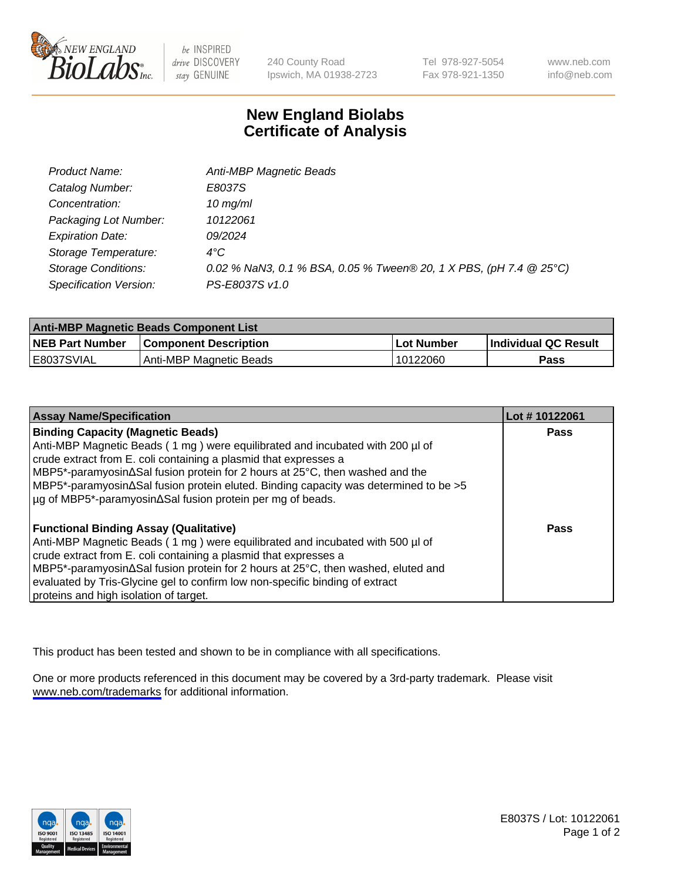

be INSPIRED drive DISCOVERY stay GENUINE

240 County Road Ipswich, MA 01938-2723 Tel 978-927-5054 Fax 978-921-1350

www.neb.com info@neb.com

## **New England Biolabs Certificate of Analysis**

| Product Name:                 | Anti-MBP Magnetic Beads                                            |
|-------------------------------|--------------------------------------------------------------------|
| Catalog Number:               | E8037S                                                             |
| Concentration:                | $10$ mg/ml                                                         |
| Packaging Lot Number:         | 10122061                                                           |
| <b>Expiration Date:</b>       | 09/2024                                                            |
| Storage Temperature:          | $4^{\circ}$ C                                                      |
| <b>Storage Conditions:</b>    | 0.02 % NaN3, 0.1 % BSA, 0.05 % Tween® 20, 1 X PBS, (pH 7.4 @ 25°C) |
| <b>Specification Version:</b> | PS-E8037S v1.0                                                     |

| <b>Anti-MBP Magnetic Beads Component List</b> |                              |            |                             |  |
|-----------------------------------------------|------------------------------|------------|-----------------------------|--|
| <b>NEB Part Number</b>                        | <b>Component Description</b> | Lot Number | <b>Individual QC Result</b> |  |
| IE8037SVIAL                                   | Anti-MBP Magnetic Beads      | 10122060   | Pass                        |  |

| <b>Assay Name/Specification</b>                                                                  | Lot #10122061 |
|--------------------------------------------------------------------------------------------------|---------------|
| <b>Binding Capacity (Magnetic Beads)</b>                                                         | <b>Pass</b>   |
| Anti-MBP Magnetic Beads (1 mg) were equilibrated and incubated with 200 µl of                    |               |
| crude extract from E. coli containing a plasmid that expresses a                                 |               |
| NBP5*-paramyosin∆Sal fusion protein for 2 hours at 25°C, then washed and the                     |               |
| $MBP5$ *-paramyosin $\Delta$ Sal fusion protein eluted. Binding capacity was determined to be >5 |               |
| µg of MBP5*-paramyosin∆Sal fusion protein per mg of beads.                                       |               |
| <b>Functional Binding Assay (Qualitative)</b>                                                    | Pass          |
| Anti-MBP Magnetic Beads (1 mg) were equilibrated and incubated with 500 µl of                    |               |
| crude extract from E. coli containing a plasmid that expresses a                                 |               |
| NBP5*-paramyosin∆Sal fusion protein for 2 hours at 25°C, then washed, eluted and                 |               |
| evaluated by Tris-Glycine gel to confirm low non-specific binding of extract                     |               |
| proteins and high isolation of target.                                                           |               |

This product has been tested and shown to be in compliance with all specifications.

One or more products referenced in this document may be covered by a 3rd-party trademark. Please visit <www.neb.com/trademarks>for additional information.